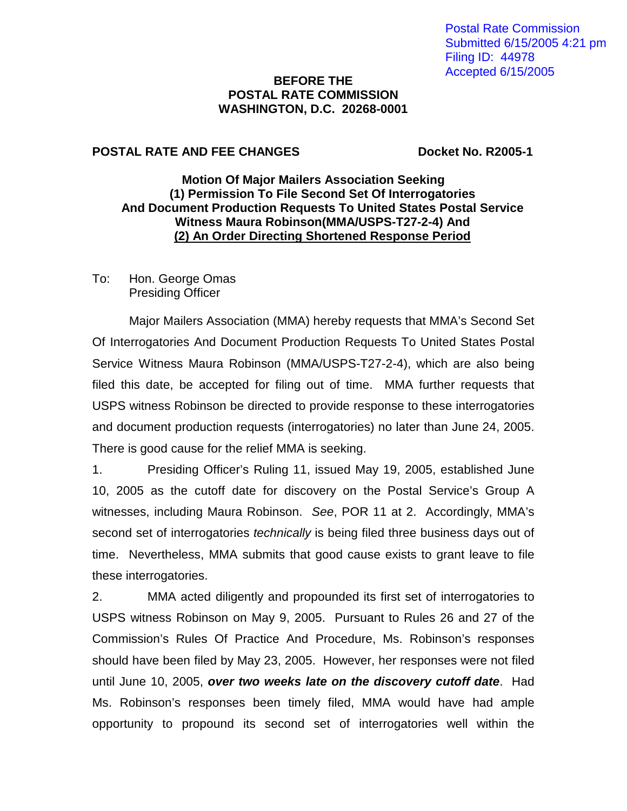#### **BEFORE THE POSTAL RATE COMMISSION WASHINGTON, D.C. 20268-0001**

### **POSTAL RATE AND FEE CHANGES Docket No. R2005-1**

## **Motion Of Major Mailers Association Seeking (1) Permission To File Second Set Of Interrogatories And Document Production Requests To United States Postal Service Witness Maura Robinson(MMA/USPS-T27-2-4) And (2) An Order Directing Shortened Response Period**

To: Hon. George Omas Presiding Officer

Major Mailers Association (MMA) hereby requests that MMA's Second Set Of Interrogatories And Document Production Requests To United States Postal Service Witness Maura Robinson (MMA/USPS-T27-2-4), which are also being filed this date, be accepted for filing out of time. MMA further requests that USPS witness Robinson be directed to provide response to these interrogatories and document production requests (interrogatories) no later than June 24, 2005. There is good cause for the relief MMA is seeking.

1. Presiding Officer's Ruling 11, issued May 19, 2005, established June 10, 2005 as the cutoff date for discovery on the Postal Service's Group A witnesses, including Maura Robinson. See, POR 11 at 2. Accordingly, MMA's second set of interrogatories *technically* is being filed three business days out of time. Nevertheless, MMA submits that good cause exists to grant leave to file these interrogatories.

2. MMA acted diligently and propounded its first set of interrogatories to USPS witness Robinson on May 9, 2005. Pursuant to Rules 26 and 27 of the Commission's Rules Of Practice And Procedure, Ms. Robinson's responses should have been filed by May 23, 2005. However, her responses were not filed until June 10, 2005, **over two weeks late on the discovery cutoff date**. Had Ms. Robinson's responses been timely filed, MMA would have had ample opportunity to propound its second set of interrogatories well within the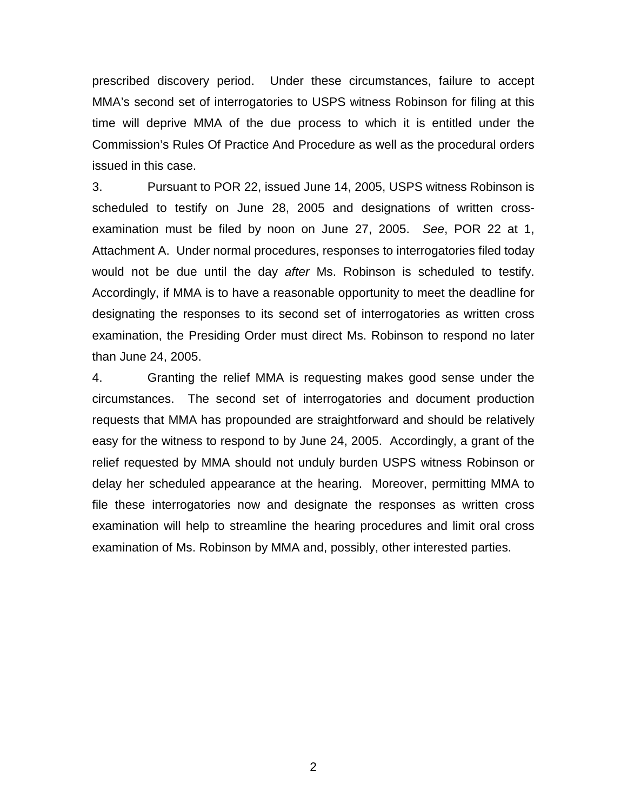prescribed discovery period. Under these circumstances, failure to accept MMA's second set of interrogatories to USPS witness Robinson for filing at this time will deprive MMA of the due process to which it is entitled under the Commission's Rules Of Practice And Procedure as well as the procedural orders issued in this case.

3. Pursuant to POR 22, issued June 14, 2005, USPS witness Robinson is scheduled to testify on June 28, 2005 and designations of written crossexamination must be filed by noon on June 27, 2005. See, POR 22 at 1, Attachment A. Under normal procedures, responses to interrogatories filed today would not be due until the day after Ms. Robinson is scheduled to testify. Accordingly, if MMA is to have a reasonable opportunity to meet the deadline for designating the responses to its second set of interrogatories as written cross examination, the Presiding Order must direct Ms. Robinson to respond no later than June 24, 2005.

4. Granting the relief MMA is requesting makes good sense under the circumstances. The second set of interrogatories and document production requests that MMA has propounded are straightforward and should be relatively easy for the witness to respond to by June 24, 2005. Accordingly, a grant of the relief requested by MMA should not unduly burden USPS witness Robinson or delay her scheduled appearance at the hearing. Moreover, permitting MMA to file these interrogatories now and designate the responses as written cross examination will help to streamline the hearing procedures and limit oral cross examination of Ms. Robinson by MMA and, possibly, other interested parties.

2